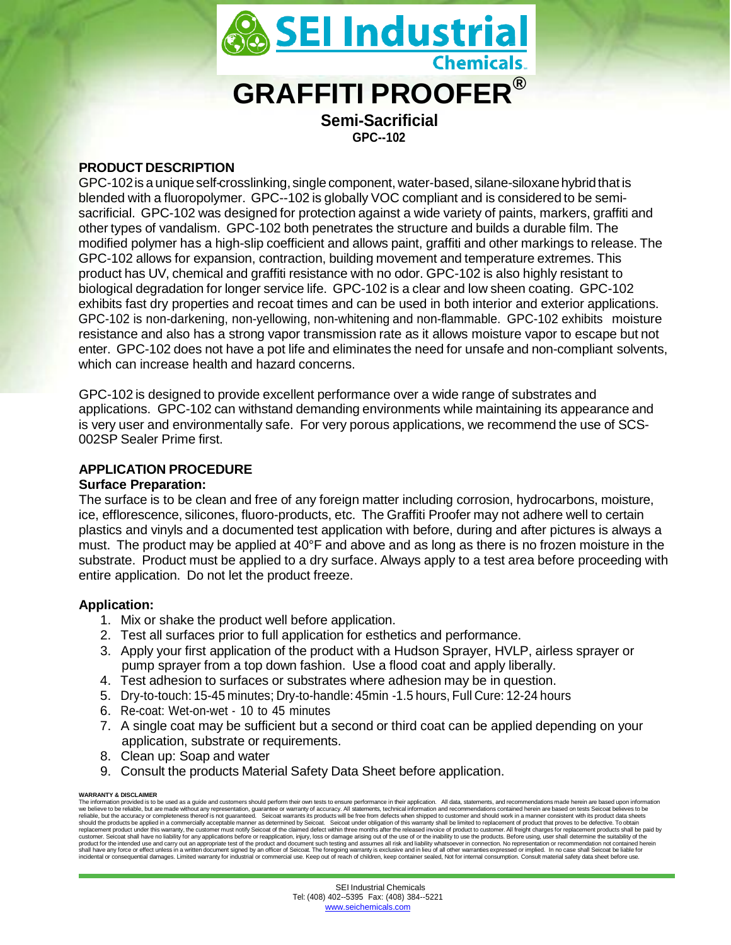

**GPC--102**

# **PRODUCT DESCRIPTION**

GPC-102 is a unique self-crosslinking, single component, water-based, silane-siloxane hybrid that is blended with a fluoropolymer. GPC--102 is globally VOC compliant and is considered to be semisacrificial. GPC-102 was designed for protection against a wide variety of paints, markers, graffiti and other types of vandalism. GPC-102 both penetrates the structure and builds a durable film. The modified polymer has a high-slip coefficient and allows paint, graffiti and other markings to release. The GPC-102 allows for expansion, contraction, building movement and temperature extremes. This product has UV, chemical and graffiti resistance with no odor. GPC-102 is also highly resistant to biological degradation for longer service life. GPC-102 is a clear and low sheen coating. GPC-102 exhibits fast dry properties and recoat times and can be used in both interior and exterior applications. GPC-102 is non-darkening, non-yellowing, non-whitening and non-flammable. GPC-102 exhibits moisture resistance and also has a strong vapor transmission rate as it allows moisture vapor to escape but not enter. GPC-102 does not have a pot life and eliminates the need for unsafe and non-compliant solvents, which can increase health and hazard concerns.

GPC-102 is designed to provide excellent performance over a wide range of substrates and applications. GPC-102 can withstand demanding environments while maintaining its appearance and is very user and environmentally safe. For very porous applications, we recommend the use of SCS-002SP Sealer Prime first.

# **APPLICATION PROCEDURE**

### **Surface Preparation:**

The surface is to be clean and free of any foreign matter including corrosion, hydrocarbons, moisture, ice, efflorescence, silicones, fluoro-products, etc. The Graffiti Proofer may not adhere well to certain plastics and vinyls and a documented test application with before, during and after pictures is always a must. The product may be applied at 40°F and above and as long as there is no frozen moisture in the substrate. Product must be applied to a dry surface. Always apply to a test area before proceeding with entire application. Do not let the product freeze.

# **Application:**

- 1. Mix or shake the product well before application.
- 2. Test all surfaces prior to full application for esthetics and performance.
- 3. Apply your first application of the product with a Hudson Sprayer, HVLP, airless sprayer or pump sprayer from a top down fashion. Use a flood coat and apply liberally.
- 4. Test adhesion to surfaces or substrates where adhesion may be in question.
- 5. Dry-to-touch: 15-45 minutes; Dry-to-handle: 45min -1.5 hours, Full Cure: 12-24 hours
- 6. Re-coat: Wet-on-wet 10 to 45 minutes
- 7. A single coat may be sufficient but a second or third coat can be applied depending on your application, substrate or requirements.
- 8. Clean up: Soap and water
- 9. Consult the products Material Safety Data Sheet before application.

#### **WARRANTY & DISCLAIMER**

The information provided is to be used as a guide and customers should perform their own tests to ensure performance in their application. All data, statements, and recommendations made herein are based upon information<br>we should the products be applied in a commercially acceptable manner as determined by Seicoat. Seicoat under obligation of this warranty shall be limited to replacement of product that proves to be defective. To obtain<br>repla customer. Seicoat shall have no liability for any applications before or reapplication, injury, loss or damage arising out of the use of or the inability to use the product. Before using, user shall determine the suitabili